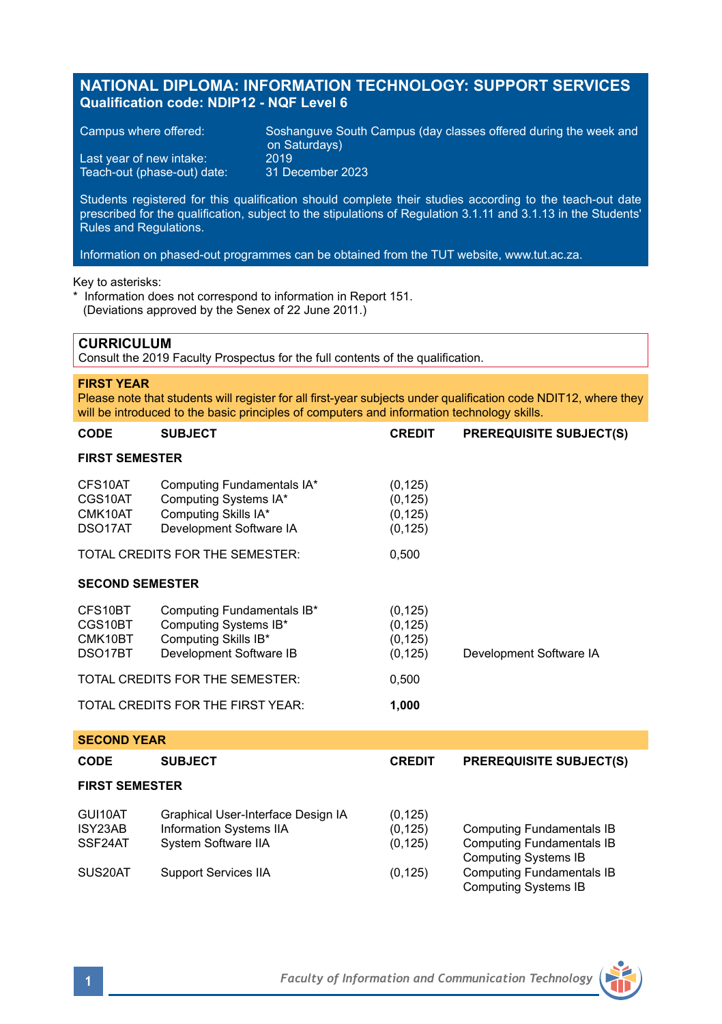# **NATIONAL DIPLOMA: INFORMATION TECHNOLOGY: SUPPORT SERVICES Qualification code: NDIP12 - NQF Level 6**

Teach-out (phase-out) date:

Campus where offered: Soshanguve South Campus (day classes offered during the week and on Saturdays) Last year of new intake: 2019<br>Teach-out (phase-out) date: 31 December 2023

Students registered for this qualification should complete their studies according to the teach-out date prescribed for the qualification, subject to the stipulations of Regulation 3.1.11 and 3.1.13 in the Students' Rules and Regulations.

Information on phased-out programmes can be obtained from the TUT website, www.tut.ac.za.

### Key to asterisks:

\* Information does not correspond to information in Report 151. (Deviations approved by the Senex of 22 June 2011.)

# **CURRICULUM**

Consult the 2019 Faculty Prospectus for the full contents of the qualification.

### **FIRST YEAR**

Please note that students will register for all first-year subjects under qualification code NDIT12, where they will be introduced to the basic principles of computers and information technology skills.

| <b>CODE</b>                                           | <b>SUBJECT</b>                                                                                         | <b>CREDIT</b>                                | <b>PREREQUISITE SUBJECT(S)</b>                                                               |  |  |  |  |
|-------------------------------------------------------|--------------------------------------------------------------------------------------------------------|----------------------------------------------|----------------------------------------------------------------------------------------------|--|--|--|--|
| <b>FIRST SEMESTER</b>                                 |                                                                                                        |                                              |                                                                                              |  |  |  |  |
| CFS10AT<br>CGS10AT<br>CMK10AT<br>DSO17AT              | Computing Fundamentals IA*<br>Computing Systems IA*<br>Computing Skills IA*<br>Development Software IA | (0, 125)<br>(0, 125)<br>(0, 125)<br>(0, 125) |                                                                                              |  |  |  |  |
| TOTAL CREDITS FOR THE SEMESTER:                       |                                                                                                        | 0,500                                        |                                                                                              |  |  |  |  |
| <b>SECOND SEMESTER</b>                                |                                                                                                        |                                              |                                                                                              |  |  |  |  |
| CFS10BT<br>CGS10BT<br>CMK10BT<br>DSO <sub>17</sub> BT | Computing Fundamentals IB*<br>Computing Systems IB*<br>Computing Skills IB*<br>Development Software IB | (0, 125)<br>(0, 125)<br>(0, 125)<br>(0, 125) | Development Software IA                                                                      |  |  |  |  |
|                                                       | TOTAL CREDITS FOR THE SEMESTER:                                                                        | 0,500                                        |                                                                                              |  |  |  |  |
| TOTAL CREDITS FOR THE FIRST YEAR:                     |                                                                                                        |                                              |                                                                                              |  |  |  |  |
| <b>SECOND YEAR</b>                                    |                                                                                                        |                                              |                                                                                              |  |  |  |  |
| CODE                                                  | <b>SUBJECT</b>                                                                                         | <b>CREDIT</b>                                | <b>PREREQUISITE SUBJECT(S)</b>                                                               |  |  |  |  |
| <b>FIRST SEMESTER</b>                                 |                                                                                                        |                                              |                                                                                              |  |  |  |  |
| GUI10AT<br>ISY23AB<br>SSF24AT                         | Graphical User-Interface Design IA<br>Information Systems IIA<br>System Software IIA                   | (0, 125)<br>(0, 125)<br>(0, 125)             | <b>Computing Fundamentals IB</b><br><b>Computing Fundamentals IB</b><br>Computing Systems IB |  |  |  |  |
| SUS20AT                                               | <b>Support Services IIA</b>                                                                            | (0, 125)                                     | <b>Computing Fundamentals IB</b><br><b>Computing Systems IB</b>                              |  |  |  |  |

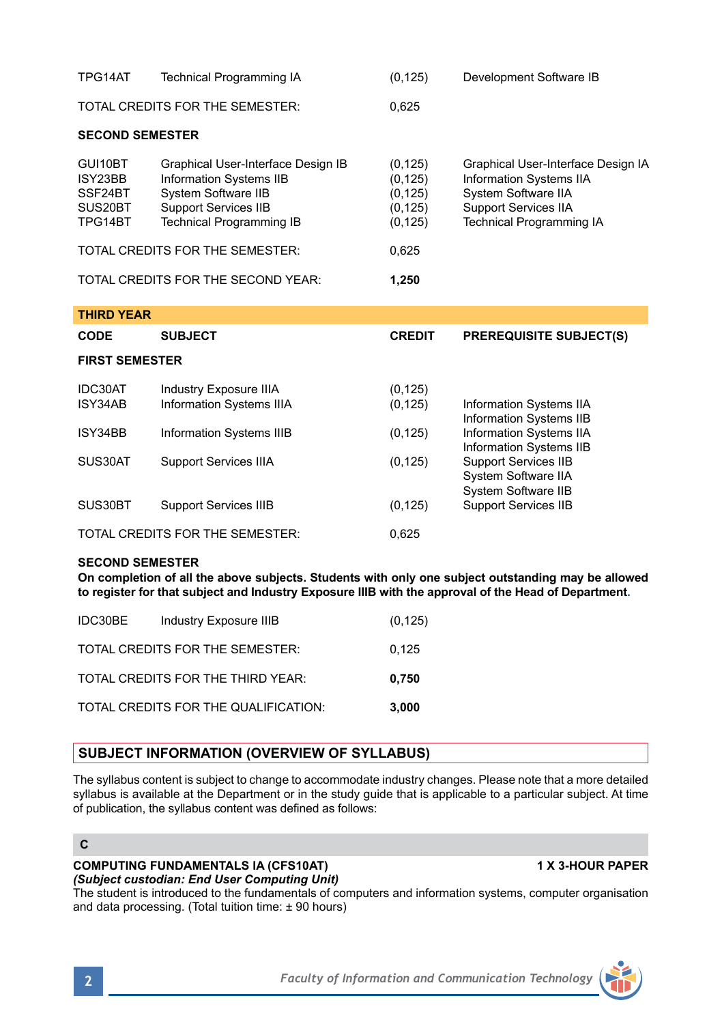| TPG14AT                                             | <b>Technical Programming IA</b>                                                                                                                        | (0, 125)                                                 | Development Software IB                                                                                                                                |  |  |  |  |
|-----------------------------------------------------|--------------------------------------------------------------------------------------------------------------------------------------------------------|----------------------------------------------------------|--------------------------------------------------------------------------------------------------------------------------------------------------------|--|--|--|--|
|                                                     | TOTAL CREDITS FOR THE SEMESTER:                                                                                                                        | 0,625                                                    |                                                                                                                                                        |  |  |  |  |
| <b>SECOND SEMESTER</b>                              |                                                                                                                                                        |                                                          |                                                                                                                                                        |  |  |  |  |
| GUI10BT<br>ISY23BB<br>SSF24BT<br>SUS20BT<br>TPG14BT | Graphical User-Interface Design IB<br>Information Systems IIB<br>System Software IIB<br><b>Support Services IIB</b><br><b>Technical Programming IB</b> | (0, 125)<br>(0, 125)<br>(0, 125)<br>(0, 125)<br>(0, 125) | Graphical User-Interface Design IA<br>Information Systems IIA<br>System Software IIA<br><b>Support Services IIA</b><br><b>Technical Programming IA</b> |  |  |  |  |
|                                                     | TOTAL CREDITS FOR THE SEMESTER:                                                                                                                        | 0,625                                                    |                                                                                                                                                        |  |  |  |  |
|                                                     | TOTAL CREDITS FOR THE SECOND YEAR:                                                                                                                     | 1,250                                                    |                                                                                                                                                        |  |  |  |  |
| <b>THIRD YEAR</b>                                   |                                                                                                                                                        |                                                          |                                                                                                                                                        |  |  |  |  |
|                                                     |                                                                                                                                                        |                                                          |                                                                                                                                                        |  |  |  |  |
| <b>CODE</b>                                         | <b>SUBJECT</b>                                                                                                                                         | <b>CREDIT</b>                                            | <b>PREREQUISITE SUBJECT(S)</b>                                                                                                                         |  |  |  |  |
| <b>FIRST SEMESTER</b>                               |                                                                                                                                                        |                                                          |                                                                                                                                                        |  |  |  |  |
| IDC30AT<br>ISY34AB                                  | <b>Industry Exposure IIIA</b><br>Information Systems IIIA                                                                                              | (0, 125)<br>(0, 125)                                     | Information Systems IIA                                                                                                                                |  |  |  |  |
| ISY34BB                                             | Information Systems IIIB                                                                                                                               | (0, 125)                                                 | Information Systems IIB<br>Information Systems IIA                                                                                                     |  |  |  |  |
| SUS30AT                                             | <b>Support Services IIIA</b>                                                                                                                           | (0, 125)                                                 | Information Systems IIB<br><b>Support Services IIB</b><br>System Software IIA                                                                          |  |  |  |  |
| SUS30BT                                             | <b>Support Services IIIB</b>                                                                                                                           | (0, 125)                                                 | System Software IIB<br><b>Support Services IIB</b>                                                                                                     |  |  |  |  |

### **SECOND SEMESTER**

**On completion of all the above subjects. Students with only one subject outstanding may be allowed to register for that subject and Industry Exposure IIIB with the approval of the Head of Department.**

| IDC30BE | Industry Exposure IIIB               | (0, 125) |
|---------|--------------------------------------|----------|
|         | TOTAL CREDITS FOR THE SEMESTER:      | 0.125    |
|         | TOTAL CREDITS FOR THE THIRD YEAR:    | 0.750    |
|         | TOTAL CREDITS FOR THE QUALIFICATION: | 3,000    |

# **SUBJECT INFORMATION (OVERVIEW OF SYLLABUS)**

The syllabus content is subject to change to accommodate industry changes. Please note that a more detailed syllabus is available at the Department or in the study guide that is applicable to a particular subject. At time of publication, the syllabus content was defined as follows:

# **C**

### **COMPUTING FUNDAMENTALS IA (CFS10AT) 1 X 3-HOUR PAPER** *(Subject custodian: End User Computing Unit)*

The student is introduced to the fundamentals of computers and information systems, computer organisation and data processing. (Total tuition time: ± 90 hours)

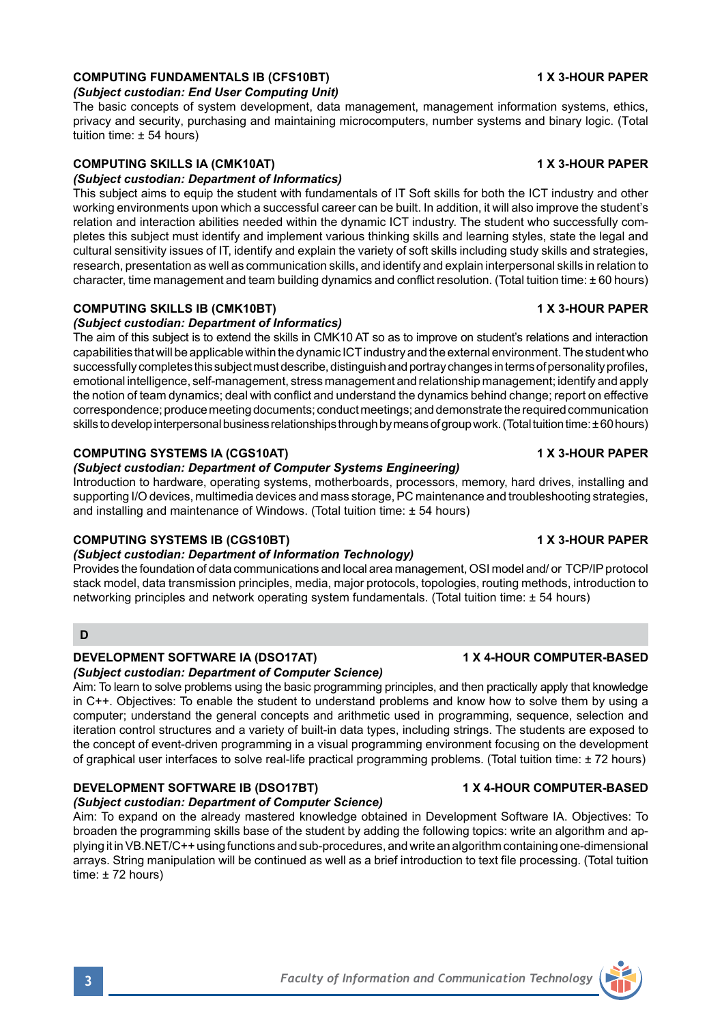# **COMPUTING FUNDAMENTALS IB (CFS10BT) 1 X 3-HOUR PAPER**

### *(Subject custodian: End User Computing Unit)*

The basic concepts of system development, data management, management information systems, ethics, privacy and security, purchasing and maintaining microcomputers, number systems and binary logic. (Total tuition time: ± 54 hours)

# **COMPUTING SKILLS IA (CMK10AT) 1 X 3-HOUR PAPER**

# *(Subject custodian: Department of Informatics)*

This subject aims to equip the student with fundamentals of IT Soft skills for both the ICT industry and other working environments upon which a successful career can be built. In addition, it will also improve the student's relation and interaction abilities needed within the dynamic ICT industry. The student who successfully completes this subject must identify and implement various thinking skills and learning styles, state the legal and cultural sensitivity issues of IT, identify and explain the variety of soft skills including study skills and strategies, research, presentation as well as communication skills, and identify and explain interpersonal skills in relation to character, time management and team building dynamics and conflict resolution. (Total tuition time: ± 60 hours)

### **COMPUTING SKILLS IB (CMK10BT) 1 X 3-HOUR PAPER**

# *(Subject custodian: Department of Informatics)*

The aim of this subject is to extend the skills in CMK10 AT so as to improve on student's relations and interaction capabilities that will be applicable within the dynamic ICT industry and the external environment. The student who successfully completes this subject must describe, distinguish and portray changes in terms of personality profiles, emotional intelligence, self-management, stress management and relationship management; identify and apply the notion of team dynamics; deal with conflict and understand the dynamics behind change; report on effective correspondence; produce meeting documents; conduct meetings; and demonstrate the required communication skills to develop interpersonal business relationships through by means of group work. (Total tuition time: ± 60 hours)

### **COMPUTING SYSTEMS IA (CGS10AT) 1 X 3-HOUR PAPER**

# *(Subject custodian: Department of Computer Systems Engineering)*

Introduction to hardware, operating systems, motherboards, processors, memory, hard drives, installing and supporting I/O devices, multimedia devices and mass storage, PC maintenance and troubleshooting strategies, and installing and maintenance of Windows. (Total tuition time: ± 54 hours)

### **COMPUTING SYSTEMS IB (CGS10BT) 1 X 3-HOUR PAPER**

### *(Subject custodian: Department of Information Technology)*

Provides the foundation of data communications and local area management, OSI model and/ or TCP/IP protocol stack model, data transmission principles, media, major protocols, topologies, routing methods, introduction to networking principles and network operating system fundamentals. (Total tuition time: ± 54 hours)

# **D**

# **DEVELOPMENT SOFTWARE IA (DSO17AT) 1 X 4-HOUR COMPUTER-BASED**

### *(Subject custodian: Department of Computer Science)*

Aim: To learn to solve problems using the basic programming principles, and then practically apply that knowledge in C++. Objectives: To enable the student to understand problems and know how to solve them by using a computer; understand the general concepts and arithmetic used in programming, sequence, selection and iteration control structures and a variety of built-in data types, including strings. The students are exposed to the concept of event-driven programming in a visual programming environment focusing on the development of graphical user interfaces to solve real-life practical programming problems. (Total tuition time: ± 72 hours)

# **DEVELOPMENT SOFTWARE IB (DSO17BT) 1 X 4-HOUR COMPUTER-BASED**

### *(Subject custodian: Department of Computer Science)*

Aim: To expand on the already mastered knowledge obtained in Development Software IA. Objectives: To broaden the programming skills base of the student by adding the following topics: write an algorithm and applying it in VB.NET/C++ using functions and sub-procedures, and write an algorithm containing one-dimensional arrays. String manipulation will be continued as well as a brief introduction to text file processing. (Total tuition time: ± 72 hours)

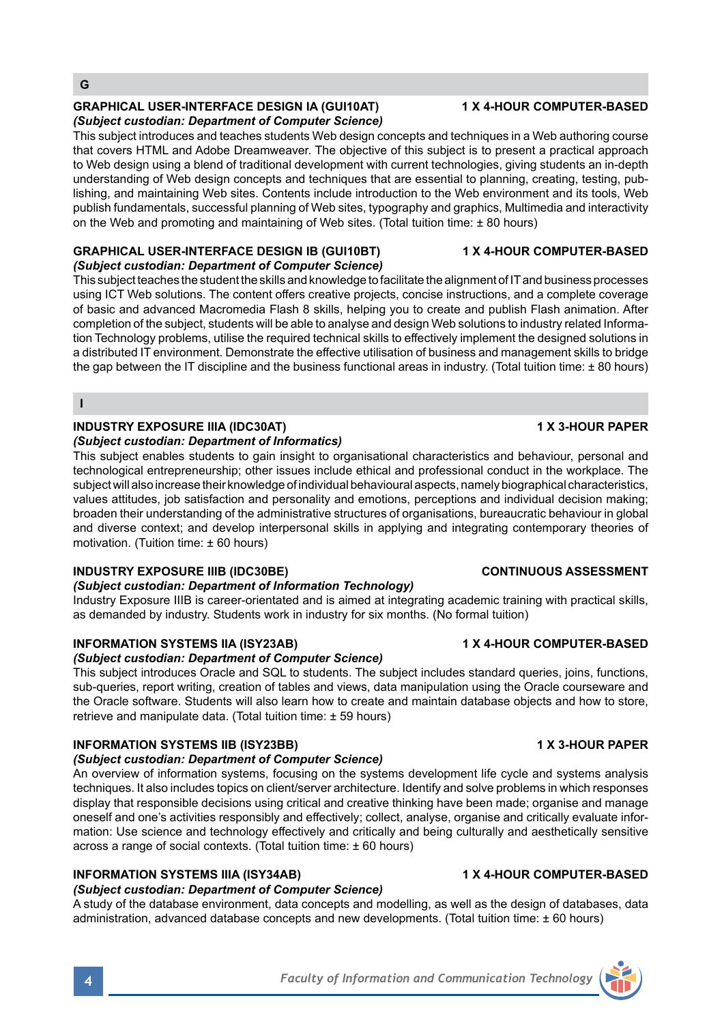# **GRAPHICAL USER-INTERFACE DESIGN IA (GUI10AT) 1 X 4-HOUR COMPUTER-BASED** *(Subject custodian: Department of Computer Science)*

This subject introduces and teaches students Web design concepts and techniques in a Web authoring course that covers HTML and Adobe Dreamweaver. The objective of this subject is to present a practical approach to Web design using a blend of traditional development with current technologies, giving students an in-depth understanding of Web design concepts and techniques that are essential to planning, creating, testing, publishing, and maintaining Web sites. Contents include introduction to the Web environment and its tools, Web publish fundamentals, successful planning of Web sites, typography and graphics, Multimedia and interactivity on the Web and promoting and maintaining of Web sites. (Total tuition time: ± 80 hours)

# **GRAPHICAL USER-INTERFACE DESIGN IB (GUI10BT) 1 X 4-HOUR COMPUTER-BASED** *(Subject custodian: Department of Computer Science)*

This subject teaches the student the skills and knowledge to facilitate the alignment of IT and business processes using ICT Web solutions. The content offers creative projects, concise instructions, and a complete coverage of basic and advanced Macromedia Flash 8 skills, helping you to create and publish Flash animation. After completion of the subject, students will be able to analyse and design Web solutions to industry related Information Technology problems, utilise the required technical skills to effectively implement the designed solutions in a distributed IT environment. Demonstrate the effective utilisation of business and management skills to bridge the gap between the IT discipline and the business functional areas in industry. (Total tuition time: ±80 hours)

**I**

# **INDUSTRY EXPOSURE IIIA (IDC30AT) 1 X 3-HOUR PAPER**

# *(Subject custodian: Department of Informatics)*

This subject enables students to gain insight to organisational characteristics and behaviour, personal and technological entrepreneurship; other issues include ethical and professional conduct in the workplace. The subject will also increase their knowledge of individual behavioural aspects, namely biographical characteristics, values attitudes, job satisfaction and personality and emotions, perceptions and individual decision making; broaden their understanding of the administrative structures of organisations, bureaucratic behaviour in global and diverse context; and develop interpersonal skills in applying and integrating contemporary theories of motivation. (Tuition time: ± 60 hours)

# **INDUSTRY EXPOSURE IIIB (IDC30BE) CONTINUOUS ASSESSMENT**

# *(Subject custodian: Department of Information Technology)*

Industry Exposure IIIB is career-orientated and is aimed at integrating academic training with practical skills, as demanded by industry. Students work in industry for six months. (No formal tuition)

# **INFORMATION SYSTEMS IIA (ISY23AB) 1 X 4-HOUR COMPUTER-BASED**

*(Subject custodian: Department of Computer Science)*

This subject introduces Oracle and SQL to students. The subject includes standard queries, joins, functions, sub-queries, report writing, creation of tables and views, data manipulation using the Oracle courseware and the Oracle software. Students will also learn how to create and maintain database objects and how to store, retrieve and manipulate data. (Total tuition time: ± 59 hours)

# **INFORMATION SYSTEMS IIB (ISY23BB) 1 X 3-HOUR PAPER**

# *(Subject custodian: Department of Computer Science)*

An overview of information systems, focusing on the systems development life cycle and systems analysis techniques. It also includes topics on client/server architecture. Identify and solve problems in which responses display that responsible decisions using critical and creative thinking have been made; organise and manage oneself and one's activities responsibly and effectively; collect, analyse, organise and critically evaluate information: Use science and technology effectively and critically and being culturally and aesthetically sensitive across a range of social contexts. (Total tuition time: ± 60 hours)

# **INFORMATION SYSTEMS IIIA (ISY34AB) 1 X 4-HOUR COMPUTER-BASED**

# *(Subject custodian: Department of Computer Science)*

A study of the database environment, data concepts and modelling, as well as the design of databases, data administration, advanced database concepts and new developments. (Total tuition time: + 60 hours)

# **4** *Faculty of Information and Communication Technology*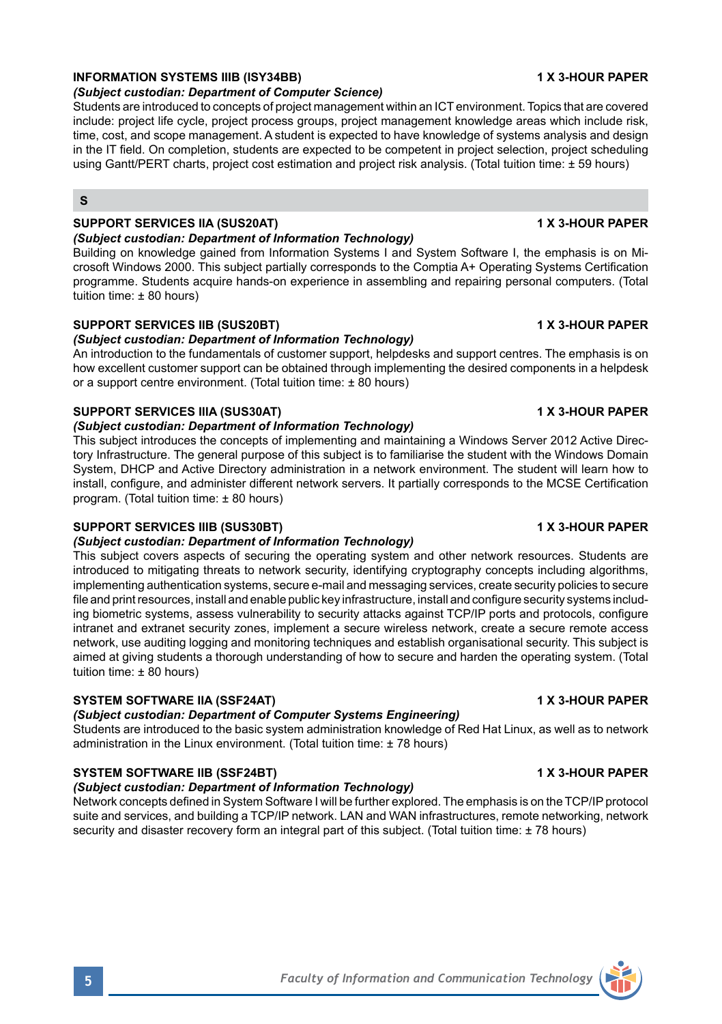# **INFORMATION SYSTEMS IIIB (ISY34BB) 1 X 3-HOUR PAPER**

### *(Subject custodian: Department of Computer Science)*

Students are introduced to concepts of project management within an ICT environment. Topics that are covered include: project life cycle, project process groups, project management knowledge areas which include risk, time, cost, and scope management. A student is expected to have knowledge of systems analysis and design in the IT field. On completion, students are expected to be competent in project selection, project scheduling using Gantt/PERT charts, project cost estimation and project risk analysis. (Total tuition time: ± 59 hours)

# **S**

# **SUPPORT SERVICES IIA (SUS20AT) 1 X 3-HOUR PAPER**

# *(Subject custodian: Department of Information Technology)*

Building on knowledge gained from Information Systems I and System Software I, the emphasis is on Microsoft Windows 2000. This subject partially corresponds to the Comptia A+ Operating Systems Certification programme. Students acquire hands-on experience in assembling and repairing personal computers. (Total tuition time:  $\pm 80$  hours)

### **SUPPORT SERVICES IIB (SUS20BT) 1 X 3-HOUR PAPER**

# *(Subject custodian: Department of Information Technology)*

An introduction to the fundamentals of customer support, helpdesks and support centres. The emphasis is on how excellent customer support can be obtained through implementing the desired components in a helpdesk or a support centre environment. (Total tuition time: ± 80 hours)

### **SUPPORT SERVICES IIIA (SUS30AT) 1 X 3-HOUR PAPER**

### *(Subject custodian: Department of Information Technology)*

This subject introduces the concepts of implementing and maintaining a Windows Server 2012 Active Directory Infrastructure. The general purpose of this subject is to familiarise the student with the Windows Domain System, DHCP and Active Directory administration in a network environment. The student will learn how to install, configure, and administer different network servers. It partially corresponds to the MCSE Certification program. (Total tuition time: ± 80 hours)

### **SUPPORT SERVICES IIIB (SUS30BT) 1 X 3-HOUR PAPER**

### *(Subject custodian: Department of Information Technology)*

This subject covers aspects of securing the operating system and other network resources. Students are introduced to mitigating threats to network security, identifying cryptography concepts including algorithms, implementing authentication systems, secure e-mail and messaging services, create security policies to secure file and print resources, install and enable public key infrastructure, install and configure security systems including biometric systems, assess vulnerability to security attacks against TCP/IP ports and protocols, configure intranet and extranet security zones, implement a secure wireless network, create a secure remote access network, use auditing logging and monitoring techniques and establish organisational security. This subject is aimed at giving students a thorough understanding of how to secure and harden the operating system. (Total tuition time: ± 80 hours)

# **SYSTEM SOFTWARE IIA (SSF24AT) 1 X 3-HOUR PAPER**

# *(Subject custodian: Department of Computer Systems Engineering)*

Students are introduced to the basic system administration knowledge of Red Hat Linux, as well as to network administration in the Linux environment. (Total tuition time: ± 78 hours)

# **SYSTEM SOFTWARE IIB (SSF24BT) 1 X 3-HOUR PAPER**

# *(Subject custodian: Department of Information Technology)*

Network concepts defined in System Software I will be further explored. The emphasis is on the TCP/IP protocol suite and services, and building a TCP/IP network. LAN and WAN infrastructures, remote networking, network security and disaster recovery form an integral part of this subject. (Total tuition time: ± 78 hours)